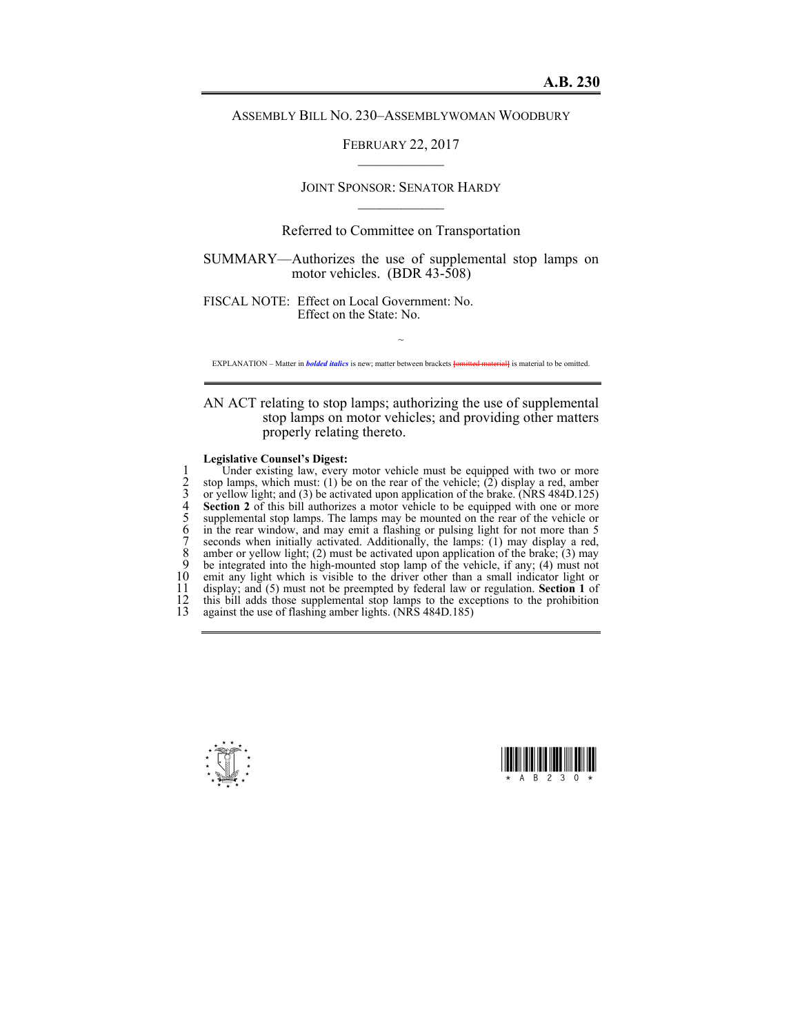## ASSEMBLY BILL NO. 230–ASSEMBLYWOMAN WOODBURY

FEBRUARY 22, 2017  $\mathcal{L}_\text{max}$ 

# JOINT SPONSOR: SENATOR HARDY  $\mathcal{L}_\text{max}$

## Referred to Committee on Transportation

SUMMARY—Authorizes the use of supplemental stop lamps on motor vehicles. (BDR 43-508)

FISCAL NOTE: Effect on Local Government: No. Effect on the State: No.

~ EXPLANATION – Matter in *bolded italics* is new; matter between brackets **[**omitted material**]** is material to be omitted.

AN ACT relating to stop lamps; authorizing the use of supplemental stop lamps on motor vehicles; and providing other matters properly relating thereto.

#### **Legislative Counsel's Digest:**

1 Under existing law, every motor vehicle must be equipped with two or more<br>
2 stop lamps, which must: (1) be on the rear of the vehicle; (2) display a red, amber<br>
3 or yellow light; and (3) be activated upon application o stop lamps, which must: (1) be on the rear of the vehicle; (2) display a red, amber or yellow light; and (3) be activated upon application of the brake. (NRS 484D.125) **Section 2** of this bill authorizes a motor vehicle to be equipped with one or more supplemental stop lamps. The lamps may be mounted on the rear of the vehicle or in the rear window, and may emit a flashing or pulsing light for not more than 5 7 seconds when initially activated. Additionally, the lamps: (1) may display a red, 8 amber or yellow light; (2) must be activated upon application of the brake; (3) may 9 be integrated into the high-mounted stop lamp of the vehicle, if any; (4) may<br>9 be integrated into the high-mounted stop lamp of the vehicle, if any; (4) must not<br>10 emit any light which is visible to the driver other th 10 emit any light which is visible to the driver other than a small indicator light or display: and (5) must not be preempted by federal law or regulation. Section 1 of 11 display; and (5) must not be preempted by federal law or regulation. **Section 1** of 12 this bill adds those supplemental stop lamps to the exceptions to the prohibition against the use of flashing amber lights. (NRS 484D.185) against the use of flashing amber lights.  $(NRS 484D.185)$ 



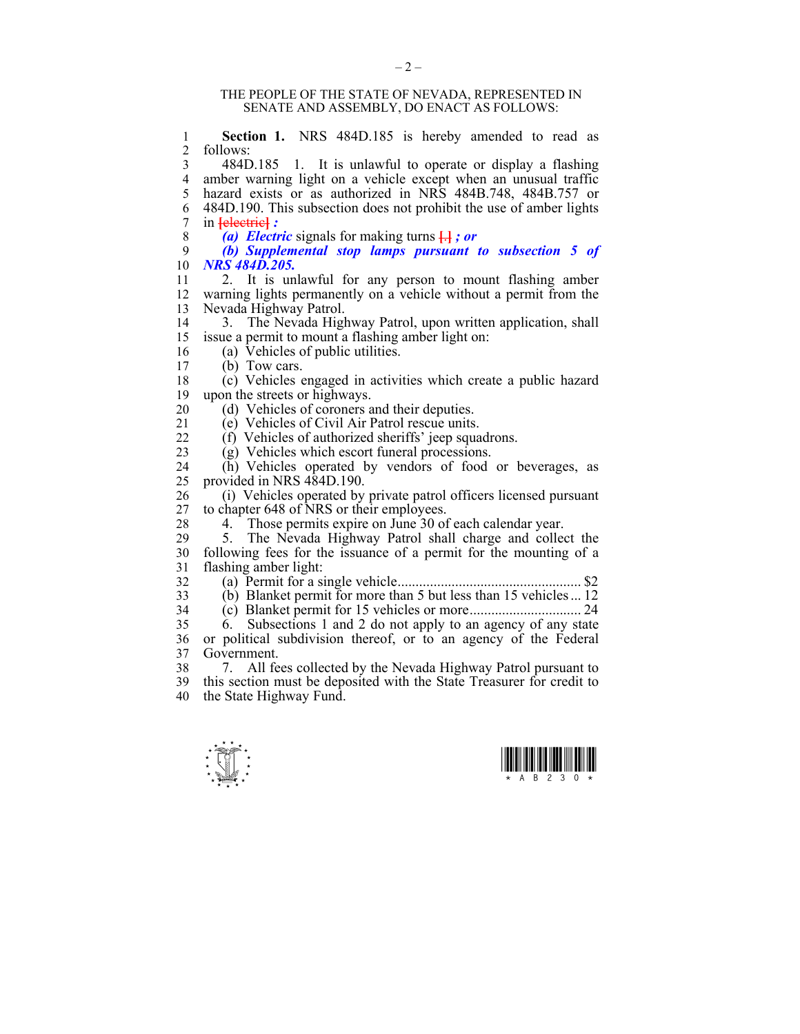#### THE PEOPLE OF THE STATE OF NEVADA, REPRESENTED IN SENATE AND ASSEMBLY, DO ENACT AS FOLLOWS:

1 **Section 1.** NRS 484D.185 is hereby amended to read as  $\frac{2}{10}$  follows: 2 follows: 3 484D.185 1. It is unlawful to operate or display a flashing 4 amber warning light on a vehicle except when an unusual traffic 5 hazard exists or as authorized in NRS 484B.748, 484B.757 or 6 484D.190. This subsection does not prohibit the use of amber lights 7 in **[**electric**]** *:*  8 *(a) Electric* signals for making turns **[**.**]** *; or*  9 *(b) Supplemental stop lamps pursuant to subsection 5 of*  10 *NRS 484D.205.*  11 2. It is unlawful for any person to mount flashing amber 12 warning lights permanently on a vehicle without a permit from the 13 Nevada Highway Patrol. 14 3. The Nevada Highway Patrol, upon written application, shall 15 issue a permit to mount a flashing amber light on: 16 (a) Vehicles of public utilities.  $17$  (b) Tow cars. 18 (c) Vehicles engaged in activities which create a public hazard 19 upon the streets or highways. 20 (d) Vehicles of coroners and their deputies.<br>21 (e) Vehicles of Civil Air Patrol rescue units  $\overline{e}$ ) Vehicles of Civil Air Patrol rescue units. 22 (f) Vehicles of authorized sheriffs' jeep squadrons. 23 (g) Vehicles which escort funeral processions. 24 (h) Vehicles operated by vendors of food or beverages, as 25 provided in NRS 484D.190. 26 (i) Vehicles operated by private patrol officers licensed pursuant 27 to chapter 648 of NRS or their employees to chapter 648 of NRS or their employees. 28 4. Those permits expire on June 30 of each calendar year. 29 5. The Nevada Highway Patrol shall charge and collect the 30 following fees for the issuance of a permit for the mounting of a flashing amber light: 32 (a) Permit for a single vehicle ................................................... \$2  $\overline{3}$  (b) Blanket permit for more than 5 but less than 15 vehicles ... 12 34 (c) Blanket permit for 15 vehicles or more ............................... 24  $35$  6. Subsections 1 and 2 do not apply to an agency of any state 36 or political subdivision thereof, or to an agency of the Federal 37 Government. 38 7. All fees collected by the Nevada Highway Patrol pursuant to 39 this section must be deposited with the State Treasurer for credit to 40 the State Highway Fund.



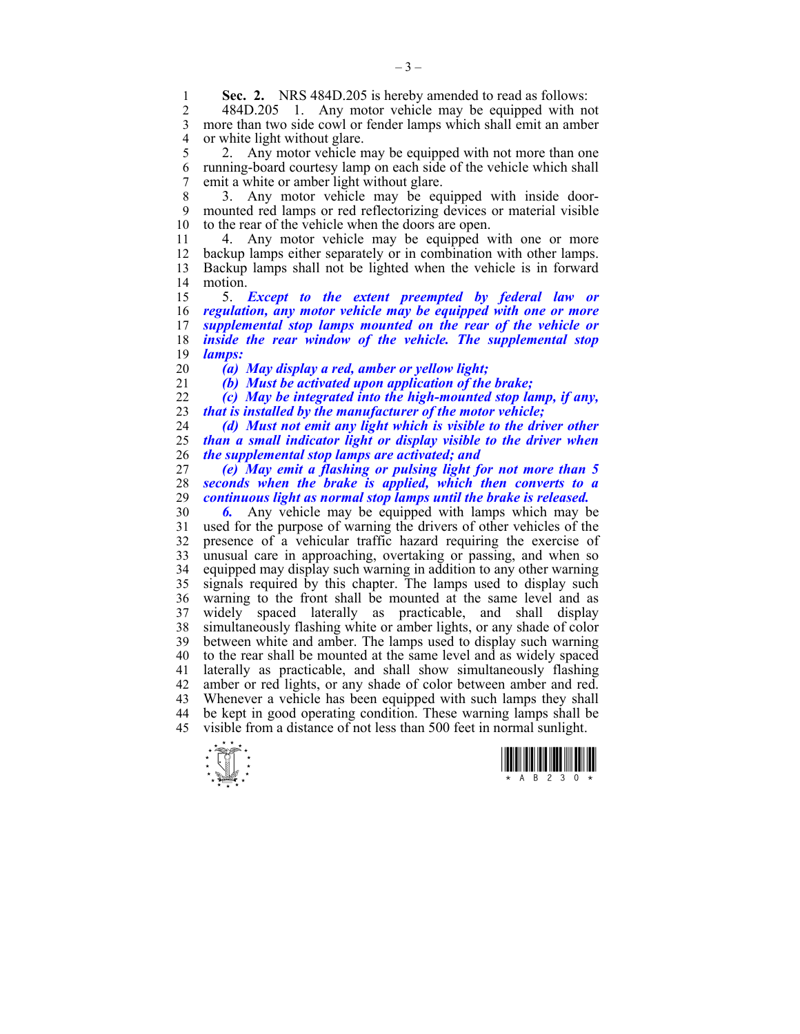**Sec. 2.** NRS 484D.205 is hereby amended to read as follows:<br>2. 484D 205, 1. Any motor vehicle may be equipped with no

2 484D.205 1. Any motor vehicle may be equipped with not 3 more than two side cowl or fender lamps which shall emit an amber 4 or white light without glare.<br>5 2. Any motor vehicle n

2. Any motor vehicle may be equipped with not more than one 6 running-board courtesy lamp on each side of the vehicle which shall 7 emit a white or amber light without glare.

8 3. Any motor vehicle may be equipped with inside door-9 mounted red lamps or red reflectorizing devices or material visible 10 to the rear of the vehicle when the doors are open.

11 4. Any motor vehicle may be equipped with one or more 12 backup lamps either separately or in combination with other lamps. 13 Backup lamps shall not be lighted when the vehicle is in forward 14 motion.

15 5. *Except to the extent preempted by federal law or*  16 *regulation, any motor vehicle may be equipped with one or more*  17 *supplemental stop lamps mounted on the rear of the vehicle or*  18 *inside the rear window of the vehicle. The supplemental stop*  19 *lamps:* 

20 *(a) May display a red, amber or yellow light;* 

21 *(b) Must be activated upon application of the brake;* 

22 *(c) May be integrated into the high-mounted stop lamp, if any,*  23 *that is installed by the manufacturer of the motor vehicle;* 

24 *(d) Must not emit any light which is visible to the driver other*  25 *than a small indicator light or display visible to the driver when*  26 *the supplemental stop lamps are activated; and* 

27 *(e) May emit a flashing or pulsing light for not more than 5*  28 *seconds when the brake is applied, which then converts to a*  29 *continuous light as normal stop lamps until the brake is released.* 

30 *6.* Any vehicle may be equipped with lamps which may be 31 used for the purpose of warning the drivers of other vehicles of the 32 presence of a vehicular traffic hazard requiring the exercise of 33 unusual care in approaching, overtaking or passing, and when so 34 equipped may display such warning in addition to any other warning 35 signals required by this chapter. The lamps used to display such 36 warning to the front shall be mounted at the same level and as 37 widely spaced laterally as practicable, and shall display 38 simultaneously flashing white or amber lights, or any shade of color 39 between white and amber. The lamps used to display such warning 40 to the rear shall be mounted at the same level and as widely spaced 41 laterally as practicable, and shall show simultaneously flashing 42 amber or red lights, or any shade of color between amber and red. 43 Whenever a vehicle has been equipped with such lamps they shall 44 be kept in good operating condition. These warning lamps shall be 45 visible from a distance of not less than 500 feet in normal sunlight.